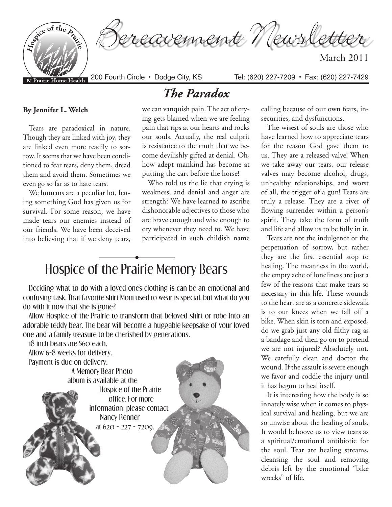

Tears are paradoxical in nature. Though they are linked with joy, they are linked even more readily to sorrow. It seems that we have been conditioned to fear tears, deny them, dread them and avoid them. Sometimes we even go so far as to hate tears.

**By Jennifer L. Welch** 

We humans are a peculiar lot, hating something God has given us for survival. For some reason, we have made tears our enemies instead of our friends. We have been deceived into believing that if we deny tears,

we can vanquish pain. The act of crying gets blamed when we are feeling pain that rips at our hearts and rocks our souls. Actually, the real culprit is resistance to the truth that we become devilishly gifted at denial. Oh, how adept mankind has become at putting the cart before the horse!

*The Paradox*

Who told us the lie that crying is weakness, and denial and anger are strength? We have learned to ascribe dishonorable adjectives to those who are brave enough and wise enough to cry whenever they need to. We have participated in such childish name

## Hospice of the Prairie Memory Bears **•**

Deciding what to do with a loved one's clothing is can be an emotional and confusing task. That favorite shirt Mom used to wear is special, but what do you do with it now that she is gone?

Allow Hospice of the Prairie to transform that beloved shirt or robe into an adorable teddy bear. The bear will become a huggable keepsake of your loved one and a family treasure to be cherished by generations.

18 inch bears are \$60 each. Allow 6-8 weeks for delivery. Payment is due on delivery. A Memory Bear Photo album is available at the Hospice of the Prairie office. For more information, please contact Nancy Renner at 620 - 227 - 7209.

calling because of our own fears, insecurities, and dysfunctions.

The wisest of souls are those who have learned how to appreciate tears for the reason God gave them to us. They are a released valve! When we take away our tears, our release valves may become alcohol, drugs, unhealthy relationships, and worst of all, the trigger of a gun! Tears are truly a release. They are a river of flowing surrender within a person's spirit. They take the form of truth and life and allow us to be fully in it.

Tears are not the indulgence or the perpetuation of sorrow, but rather they are the first essential stop to healing. The meanness in the world, the empty ache of loneliness are just a few of the reasons that make tears so necessary in this life. These wounds to the heart are as a concrete sidewalk is to our knees when we fall off a bike. When skin is torn and exposed, do we grab just any old filthy rag as a bandage and then go on to pretend we are not injured? Absolutely not. We carefully clean and doctor the wound. If the assault is severe enough we favor and coddle the injury until it has begun to heal itself.

It is interesting how the body is so innately wise when it comes to physical survival and healing, but we are so unwise about the healing of souls. It would behoove us to view tears as a spiritual/emotional antibiotic for the soul. Tear are healing streams, cleansing the soul and removing debris left by the emotional "bike wrecks" of life.